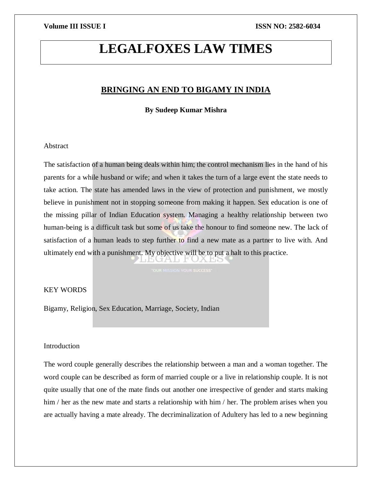# **LEGALFOXES LAW TIMES**

## **BRINGING AN END TO BIGAMY IN INDIA**

**By Sudeep Kumar Mishra**

### Abstract

The satisfaction of a human being deals within him; the control mechanism lies in the hand of his parents for a while husband or wife; and when it takes the turn of a large event the state needs to take action. The state has amended laws in the view of protection and punishment, we mostly believe in punishment not in stopping someone from making it happen. Sex education is one of the missing pillar of Indian Education system. Managing a healthy relationship between two human-being is a difficult task but some of us take the honour to find someone new. The lack of satisfaction of a human leads to step further to find a new mate as a partner to live with. And ultimately end with a punishment. My objective will be to put a halt to this practice. TAI FU

### KEY WORDS

Bigamy, Religion, Sex Education, Marriage, Society, Indian

### Introduction

The word couple generally describes the relationship between a man and a woman together. The word couple can be described as form of married couple or a live in relationship couple. It is not quite usually that one of the mate finds out another one irrespective of gender and starts making him / her as the new mate and starts a relationship with him / her. The problem arises when you are actually having a mate already. The decriminalization of Adultery has led to a new beginning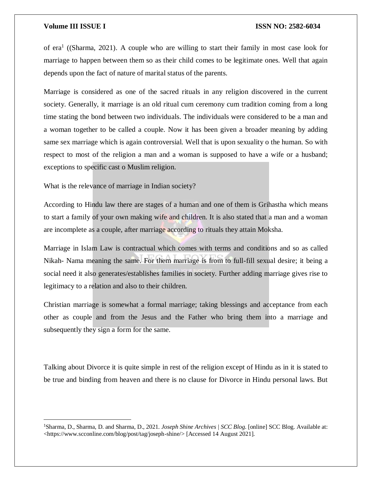$\overline{\phantom{a}}$ 

### **Volume III ISSUE I ISSN NO: 2582-6034**

of era<sup>1</sup> ((Sharma, 2021). A couple who are willing to start their family in most case look for marriage to happen between them so as their child comes to be legitimate ones. Well that again depends upon the fact of nature of marital status of the parents.

Marriage is considered as one of the sacred rituals in any religion discovered in the current society. Generally, it marriage is an old ritual cum ceremony cum tradition coming from a long time stating the bond between two individuals. The individuals were considered to be a man and a woman together to be called a couple. Now it has been given a broader meaning by adding same sex marriage which is again controversial. Well that is upon sexuality o the human. So with respect to most of the religion a man and a woman is supposed to have a wife or a husband; exceptions to specific cast o Muslim religion.

What is the relevance of marriage in Indian society?

According to Hindu law there are stages of a human and one of them is Grihastha which means to start a family of your own making wife and children. It is also stated that a man and a woman are incomplete as a couple, after marriage according to rituals they attain Moksha.

Marriage in Islam Law is contractual which comes with terms and conditions and so as called Nikah- Nama meaning the same. For them marriage is from to full-fill sexual desire; it being a social need it also generates/establishes families in society. Further adding marriage gives rise to legitimacy to a relation and also to their children.

Christian marriage is somewhat a formal marriage; taking blessings and acceptance from each other as couple and from the Jesus and the Father who bring them into a marriage and subsequently they sign a form for the same.

Talking about Divorce it is quite simple in rest of the religion except of Hindu as in it is stated to be true and binding from heaven and there is no clause for Divorce in Hindu personal laws. But

<sup>1</sup>Sharma, D., Sharma, D. and Sharma, D., 2021. *Joseph Shine Archives | SCC Blog*. [online] SCC Blog. Available at: <https://www.scconline.com/blog/post/tag/joseph-shine/> [Accessed 14 August 2021].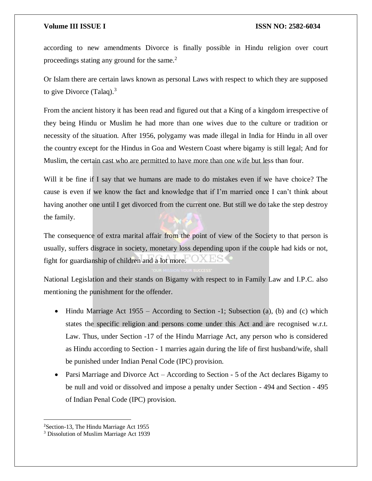according to new amendments Divorce is finally possible in Hindu religion over court proceedings stating any ground for the same.<sup>2</sup>

Or Islam there are certain laws known as personal Laws with respect to which they are supposed to give Divorce (Talaq). $3$ 

From the ancient history it has been read and figured out that a King of a kingdom irrespective of they being Hindu or Muslim he had more than one wives due to the culture or tradition or necessity of the situation. After 1956, polygamy was made illegal in India for Hindu in all over the country except for the Hindus in Goa and Western Coast where bigamy is still legal; And for Muslim, the certain cast who are permitted to have more than one wife but less than four.

Will it be fine if I say that we humans are made to do mistakes even if we have choice? The cause is even if we know the fact and knowledge that if I'm married once I can't think about having another one until I get divorced from the current one. But still we do take the step destroy the family.

The consequence of extra marital affair from the point of view of the Society to that person is usually, suffers disgrace in society, monetary loss depending upon if the couple had kids or not, fight for guardianship of children and a lot more.

National Legislation and their stands on Bigamy with respect to in Family Law and I.P.C. also mentioning the punishment for the offender.

- $\bullet$  Hindu Marriage Act 1955 According to Section -1; Subsection (a), (b) and (c) which states the specific religion and persons come under this Act and are recognised w.r.t. Law. Thus, under Section -17 of the Hindu Marriage Act, any person who is considered as Hindu according to Section - 1 marries again during the life of first husband/wife, shall be punished under Indian Penal Code (IPC) provision.
- Parsi Marriage and Divorce Act According to Section 5 of the Act declares Bigamy to be null and void or dissolved and impose a penalty under Section - 494 and Section - 495 of Indian Penal Code (IPC) provision.

 $\overline{\phantom{a}}$ 

<sup>2</sup>Section-13, The Hindu Marriage Act 1955

<sup>3</sup> Dissolution of Muslim Marriage Act 1939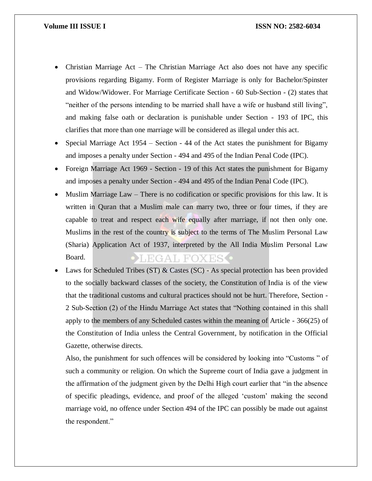### **Volume III ISSUE I ISSN NO: 2582-6034**

- Christian Marriage Act The Christian Marriage Act also does not have any specific provisions regarding Bigamy. Form of Register Marriage is only for Bachelor/Spinster and Widow/Widower. For Marriage Certificate Section - 60 Sub-Section - (2) states that "neither of the persons intending to be married shall have a wife or husband still living", and making false oath or declaration is punishable under Section - 193 of IPC, this clarifies that more than one marriage will be considered as illegal under this act.
- Special Marriage Act 1954 Section 44 of the Act states the punishment for Bigamy and imposes a penalty under Section - 494 and 495 of the Indian Penal Code (IPC).
- Foreign Marriage Act 1969 Section 19 of this Act states the punishment for Bigamy and imposes a penalty under Section - 494 and 495 of the Indian Penal Code (IPC).
- Muslim Marriage Law There is no codification or specific provisions for this law. It is written in Quran that a Muslim male can marry two, three or four times, if they are capable to treat and respect each wife equally after marriage, if not then only one. Muslims in the rest of the country is subject to the terms of The Muslim Personal Law (Sharia) Application Act of 1937, interpreted by the All India Muslim Personal Law Board. **EGAL FOXES •**
- Laws for Scheduled Tribes (ST) & Castes (SC) As special protection has been provided to the socially backward classes of the society, the Constitution of India is of the view that the traditional customs and cultural practices should not be hurt. Therefore, Section - 2 Sub-Section (2) of the Hindu Marriage Act states that "Nothing contained in this shall apply to the members of any Scheduled castes within the meaning of Article - 366(25) of the Constitution of India unless the Central Government, by notification in the Official Gazette, otherwise directs.

Also, the punishment for such offences will be considered by looking into "Customs " of such a community or religion. On which the Supreme court of India gave a judgment in the affirmation of the judgment given by the Delhi High court earlier that "in the absence of specific pleadings, evidence, and proof of the alleged 'custom' making the second marriage void, no offence under Section 494 of the IPC can possibly be made out against the respondent."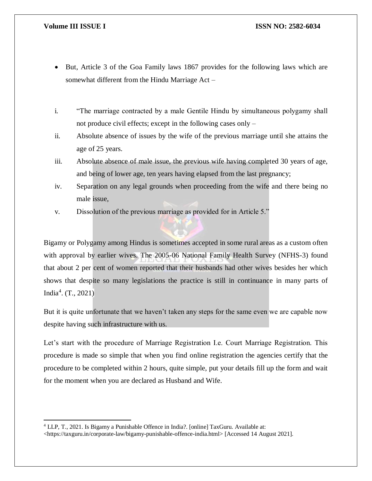$\overline{\phantom{a}}$ 

- But, Article 3 of the Goa Family laws 1867 provides for the following laws which are somewhat different from the Hindu Marriage Act –
- i. "The marriage contracted by a male Gentile Hindu by simultaneous polygamy shall not produce civil effects; except in the following cases only –
- ii. Absolute absence of issues by the wife of the previous marriage until she attains the age of 25 years.
- iii. Absolute absence of male issue, the previous wife having completed 30 years of age, and being of lower age, ten years having elapsed from the last pregnancy;
- iv. Separation on any legal grounds when proceeding from the wife and there being no male issue,
- v. Dissolution of the previous marriage as provided for in Article 5."

Bigamy or Polygamy among Hindus is sometimes accepted in some rural areas as a custom often with approval by earlier wives. The 2005-06 National Family Health Survey (NFHS-3) found that about 2 per cent of women reported that their husbands had other wives besides her which shows that despite so many legislations the practice is still in continuance in many parts of India<sup>4</sup> . (T., 2021)

But it is quite unfortunate that we haven't taken any steps for the same even we are capable now despite having such infrastructure with us.

Let's start with the procedure of Marriage Registration I.e. Court Marriage Registration. This procedure is made so simple that when you find online registration the agencies certify that the procedure to be completed within 2 hours, quite simple, put your details fill up the form and wait for the moment when you are declared as Husband and Wife.

<sup>4</sup> LLP, T., 2021. Is Bigamy a Punishable Offence in India?. [online] TaxGuru. Available at: <https://taxguru.in/corporate-law/bigamy-punishable-offence-india.html> [Accessed 14 August 2021].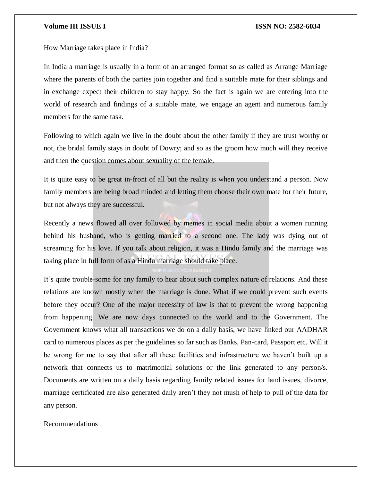How Marriage takes place in India?

In India a marriage is usually in a form of an arranged format so as called as Arrange Marriage where the parents of both the parties join together and find a suitable mate for their siblings and in exchange expect their children to stay happy. So the fact is again we are entering into the world of research and findings of a suitable mate, we engage an agent and numerous family members for the same task.

Following to which again we live in the doubt about the other family if they are trust worthy or not, the bridal family stays in doubt of Dowry; and so as the groom how much will they receive and then the question comes about sexuality of the female.

It is quite easy to be great in-front of all but the reality is when you understand a person. Now family members are being broad minded and letting them choose their own mate for their future, but not always they are successful.

Recently a news flowed all over followed by memes in social media about a women running behind his husband, who is getting married to a second one. The lady was dying out of screaming for his love. If you talk about religion, it was a Hindu family and the marriage was taking place in full form of as a Hindu marriage should take place.

It's quite trouble-some for any family to hear about such complex nature of relations. And these relations are known mostly when the marriage is done. What if we could prevent such events before they occur? One of the major necessity of law is that to prevent the wrong happening from happening. We are now days connected to the world and to the Government. The Government knows what all transactions we do on a daily basis, we have linked our AADHAR card to numerous places as per the guidelines so far such as Banks, Pan-card, Passport etc. Will it be wrong for me to say that after all these facilities and infrastructure we haven't built up a network that connects us to matrimonial solutions or the link generated to any person/s. Documents are written on a daily basis regarding family related issues for land issues, divorce, marriage certificated are also generated daily aren't they not mush of help to pull of the data for any person.

Recommendations